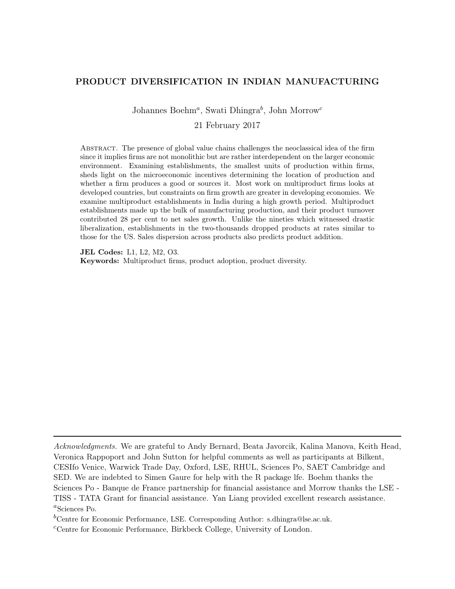# <span id="page-0-0"></span>PRODUCT DIVERSIFICATION IN INDIAN MANUFACTURING

Johannes Boehm<sup>a</sup>, Swati Dhingra<sup>b</sup>, John Morrow<sup>c</sup>

21 February 2017

Abstract. The presence of global value chains challenges the neoclassical idea of the firm since it implies firms are not monolithic but are rather interdependent on the larger economic environment. Examining establishments, the smallest units of production within firms, sheds light on the microeconomic incentives determining the location of production and whether a firm produces a good or sources it. Most work on multiproduct firms looks at developed countries, but constraints on firm growth are greater in developing economies. We examine multiproduct establishments in India during a high growth period. Multiproduct establishments made up the bulk of manufacturing production, and their product turnover contributed 28 per cent to net sales growth. Unlike the nineties which witnessed drastic liberalization, establishments in the two-thousands dropped products at rates similar to those for the US. Sales dispersion across products also predicts product addition.

JEL Codes: L1, L2, M2, O3.

Keywords: Multiproduct firms, product adoption, product diversity.

Acknowledgments. We are grateful to Andy Bernard, Beata Javorcik, Kalina Manova, Keith Head, Veronica Rappoport and John Sutton for helpful comments as well as participants at Bilkent, CESIfo Venice, Warwick Trade Day, Oxford, LSE, RHUL, Sciences Po, SAET Cambridge and SED. We are indebted to Simen Gaure for help with the R package lfe. Boehm thanks the Sciences Po - Banque de France partnership for financial assistance and Morrow thanks the LSE - TISS - TATA Grant for financial assistance. Yan Liang provided excellent research assistance. a Sciences Po.

<sup>b</sup>Centre for Economic Performance, LSE. Corresponding Author: s.dhingra@lse.ac.uk.

 ${}^c$ Centre for Economic Performance, Birkbeck College, University of London.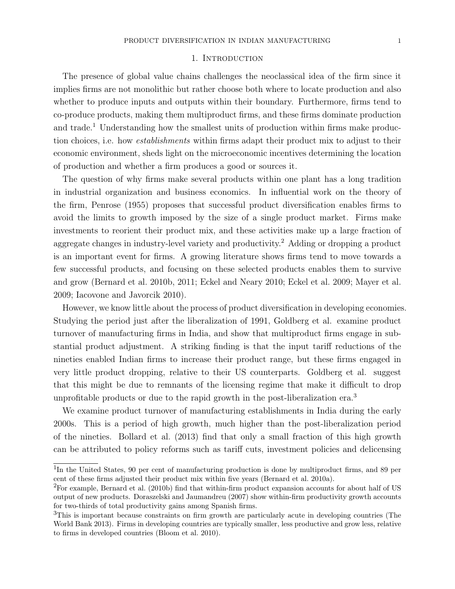## 1. INTRODUCTION

The presence of global value chains challenges the neoclassical idea of the firm since it implies firms are not monolithic but rather choose both where to locate production and also whether to produce inputs and outputs within their boundary. Furthermore, firms tend to co-produce products, making them multiproduct firms, and these firms dominate production and trade.<sup>[1](#page-0-0)</sup> Understanding how the smallest units of production within firms make production choices, i.e. how establishments within firms adapt their product mix to adjust to their economic environment, sheds light on the microeconomic incentives determining the location of production and whether a firm produces a good or sources it.

The question of why firms make several products within one plant has a long tradition in industrial organization and business economics. In influential work on the theory of the firm, [Penrose](#page-12-0) [\(1955\)](#page-12-0) proposes that successful product diversification enables firms to avoid the limits to growth imposed by the size of a single product market. Firms make investments to reorient their product mix, and these activities make up a large fraction of aggregate changes in industry-level variety and productivity.<sup>[2](#page-0-0)</sup> Adding or dropping a product is an important event for firms. A growing literature shows firms tend to move towards a few successful products, and focusing on these selected products enables them to survive and grow [\(Bernard et al. 2010b,](#page-12-1) [2011;](#page-12-2) [Eckel and Neary 2010;](#page-12-3) [Eckel et al. 2009;](#page-12-4) [Mayer et al.](#page-12-5) [2009;](#page-12-5) [Iacovone and Javorcik 2010\)](#page-12-6).

However, we know little about the process of product diversification in developing economies. Studying the period just after the liberalization of 1991, Goldberg et al. examine product turnover of manufacturing firms in India, and show that multiproduct firms engage in substantial product adjustment. A striking finding is that the input tariff reductions of the nineties enabled Indian firms to increase their product range, but these firms engaged in very little product dropping, relative to their US counterparts. Goldberg et al. suggest that this might be due to remnants of the licensing regime that make it difficult to drop unprofitable products or due to the rapid growth in the post-liberalization era.[3](#page-0-0)

We examine product turnover of manufacturing establishments in India during the early 2000s. This is a period of high growth, much higher than the post-liberalization period of the nineties. [Bollard et al.](#page-12-7) [\(2013\)](#page-12-7) find that only a small fraction of this high growth can be attributed to policy reforms such as tariff cuts, investment policies and delicensing

<sup>&</sup>lt;sup>1</sup>In the United States, 90 per cent of manufacturing production is done by multiproduct firms, and 89 per cent of these firms adjusted their product mix within five years [\(Bernard et al. 2010a\)](#page-11-0).

<sup>2</sup>For example, [Bernard et al.](#page-12-1) [\(2010b\)](#page-12-1) find that within-firm product expansion accounts for about half of US output of new products. [Doraszelski and Jaumandreu](#page-12-8) [\(2007\)](#page-12-8) show within-firm productivity growth accounts for two-thirds of total productivity gains among Spanish firms.

<sup>3</sup>This is important because constraints on firm growth are particularly acute in developing countries [\(The](#page-12-9) [World Bank 2013\)](#page-12-9). Firms in developing countries are typically smaller, less productive and grow less, relative to firms in developed countries [\(Bloom et al. 2010\)](#page-12-10).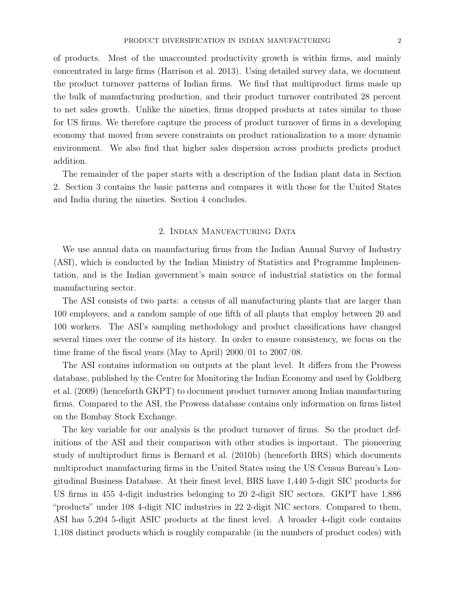of products. Most of the unaccounted productivity growth is within firms, and mainly concentrated in large firms [\(Harrison et al. 2013\)](#page-12-11). Using detailed survey data, we document the product turnover patterns of Indian firms. We find that multiproduct firms made up the bulk of manufacturing production, and their product turnover contributed 28 percent to net sales growth. Unlike the nineties, firms dropped products at rates similar to those for US firms. We therefore capture the process of product turnover of firms in a developing economy that moved from severe constraints on product rationalization to a more dynamic environment. We also find that higher sales dispersion across products predicts product addition.

The remainder of the paper starts with a description of the Indian plant data in Section 2. Section 3 contains the basic patterns and compares it with those for the United States and India during the nineties. Section 4 concludes.

## 2. Indian Manufacturing Data

We use annual data on manufacturing firms from the Indian Annual Survey of Industry (ASI), which is conducted by the Indian Ministry of Statistics and Programme Implementation, and is the Indian government's main source of industrial statistics on the formal manufacturing sector.

The ASI consists of two parts: a census of all manufacturing plants that are larger than 100 employees, and a random sample of one fifth of all plants that employ between 20 and 100 workers. The ASI's sampling methodology and product classifications have changed several times over the course of its history. In order to ensure consistency, we focus on the time frame of the fiscal years (May to April) 2000/01 to 2007/08.

The ASI contains information on outputs at the plant level. It differs from the Prowess database, published by the Centre for Monitoring the Indian Economy and used by [Goldberg](#page-12-12) [et al.](#page-12-12) [\(2009\)](#page-12-12) (henceforth GKPT) to document product turnover among Indian manufacturing firms. Compared to the ASI, the Prowess database contains only information on firms listed on the Bombay Stock Exchange.

The key variable for our analysis is the product turnover of firms. So the product definitions of the ASI and their comparison with other studies is important. The pioneering study of multiproduct firms is [Bernard et al.](#page-12-1) [\(2010b\)](#page-12-1) (henceforth BRS) which documents multiproduct manufacturing firms in the United States using the US Census Bureau's Longitudinal Business Database. At their finest level, BRS have 1,440 5-digit SIC products for US firms in 455 4-digit industries belonging to 20 2-digit SIC sectors. GKPT have 1,886 "products" under 108 4-digit NIC industries in 22 2-digit NIC sectors. Compared to them, ASI has 5,204 5-digit ASIC products at the finest level. A broader 4-digit code contains 1,108 distinct products which is roughly comparable (in the numbers of product codes) with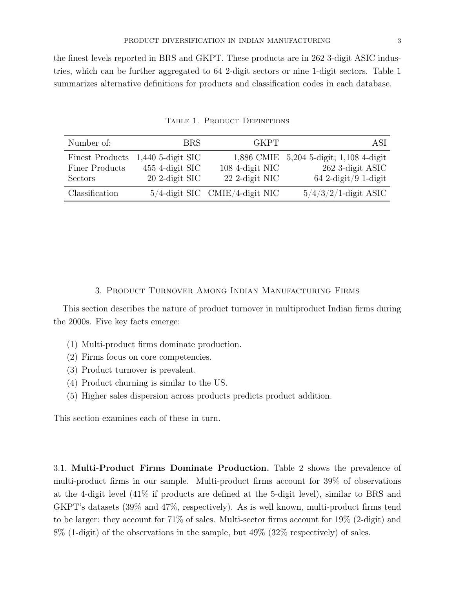the finest levels reported in BRS and GKPT. These products are in 262 3-digit ASIC industries, which can be further aggregated to 64 2-digit sectors or nine 1-digit sectors. Table [1](#page-3-0) summarizes alternative definitions for products and classification codes in each database.

<span id="page-3-0"></span>

| Number of:      | <b>BRS</b>          | <b>GKPT</b>                       | ASI                                     |
|-----------------|---------------------|-----------------------------------|-----------------------------------------|
| Finest Products | $1,440$ 5-digit SIC | 108 4-digit NIC                   | 1,886 CMIE 5,204 5-digit; 1,108 4-digit |
| Finer Products  | 455 4-digit SIC     |                                   | 262 3-digit ASIC                        |
| Sectors         | 20 2-digit SIC      | 22 2-digit NIC                    | $64$ 2-digit/9 1-digit                  |
| Classification  |                     | $5/4$ -digit SIC CMIE/4-digit NIC | $5/4/3/2/1$ -digit ASIC                 |

TABLE 1. PRODUCT DEFINITIONS

## 3. Product Turnover Among Indian Manufacturing Firms

This section describes the nature of product turnover in multiproduct Indian firms during the 2000s. Five key facts emerge:

- (1) Multi-product firms dominate production.
- (2) Firms focus on core competencies.
- (3) Product turnover is prevalent.
- (4) Product churning is similar to the US.
- (5) Higher sales dispersion across products predicts product addition.

This section examines each of these in turn.

3.1. Multi-Product Firms Dominate Production. Table [2](#page-4-0) shows the prevalence of multi-product firms in our sample. Multi-product firms account for 39% of observations at the 4-digit level (41% if products are defined at the 5-digit level), similar to BRS and GKPT's datasets (39% and 47%, respectively). As is well known, multi-product firms tend to be larger: they account for 71% of sales. Multi-sector firms account for 19% (2-digit) and 8% (1-digit) of the observations in the sample, but 49% (32% respectively) of sales.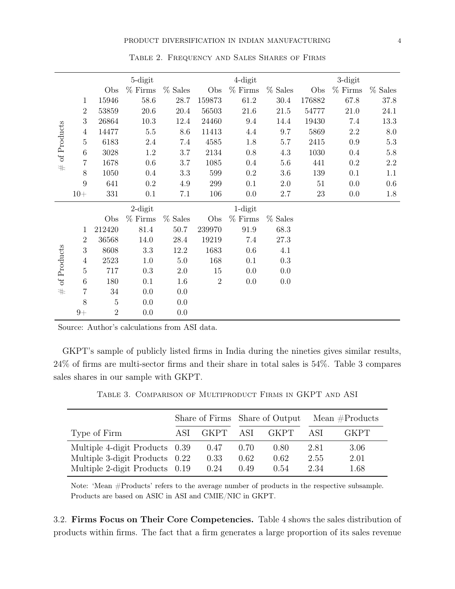<span id="page-4-0"></span>

|             |                  |                | 5-digit    |           |              | $4$ -digit |           |        | 3-digit   |           |
|-------------|------------------|----------------|------------|-----------|--------------|------------|-----------|--------|-----------|-----------|
|             |                  | Obs            | $%$ Firms  | $%$ Sales | Obs          | $%$ Firms  | $%$ Sales | Obs    | $%$ Firms | $%$ Sales |
|             | 1                | 15946          | 58.6       | 28.7      | 159873       | $61.2\,$   | 30.4      | 176882 | 67.8      | 37.8      |
|             | $\overline{2}$   | 53859          | $20.6\,$   | 20.4      | 56503        | $21.6\,$   | $21.5\,$  | 54777  | 21.0      | 24.1      |
|             | $\boldsymbol{3}$ | 26864          | 10.3       | 12.4      | 24460        | 9.4        | 14.4      | 19430  | 7.4       | 13.3      |
| of Products | $\overline{4}$   | 14477          | $5.5\,$    | 8.6       | 11413        | 4.4        | 9.7       | 5869   | $2.2\,$   | $8.0\,$   |
|             | $\overline{5}$   | 6183           | $2.4\,$    | 7.4       | 4585         | 1.8        | $5.7\,$   | 2415   | 0.9       | $5.3\,$   |
|             | $6\,$            | 3028           | 1.2        | $3.7\,$   | 2134         | 0.8        | 4.3       | 1030   | 0.4       | 5.8       |
| #           | $\overline{7}$   | 1678           | 0.6        | $3.7\,$   | 1085         | 0.4        | $5.6\,$   | 441    | 0.2       | $2.2\,$   |
|             | $8\,$            | 1050           | 0.4        | 3.3       | 599          | 0.2        | $3.6\,$   | 139    | 0.1       | 1.1       |
|             | $\boldsymbol{9}$ | 641            | 0.2        | 4.9       | 299          | 0.1        | $2.0\,$   | $51\,$ | 0.0       | 0.6       |
|             | $10+$            | 331            | 0.1        | 7.1       | 106          | 0.0        | 2.7       | 23     | 0.0       | 1.8       |
|             |                  |                | $2$ -digit |           |              | $1$ -digit |           |        |           |           |
|             |                  | Obs            | $%$ Firms  | $%$ Sales | Obs          | $%$ Firms  | $%$ Sales |        |           |           |
|             | 1                | 212420         | $81.4\,$   | $50.7\,$  | 239970       | $91.9\,$   | 68.3      |        |           |           |
|             | $\overline{2}$   | 36568          | 14.0       | 28.4      | 19219        | 7.4        | 27.3      |        |           |           |
| of Products | $\boldsymbol{3}$ | 8608           | $3.3\,$    | 12.2      | 1683         | 0.6        | $4.1\,$   |        |           |           |
|             | $\overline{4}$   | 2523           | 1.0        | 5.0       | 168          | 0.1        | 0.3       |        |           |           |
|             | $\overline{5}$   | 717            | 0.3        | $2.0\,$   | 15           | 0.0        | 0.0       |        |           |           |
|             | $\,6\,$          | 180            | 0.1        | 1.6       | $\mathbf{2}$ | 0.0        | 0.0       |        |           |           |
| #           | $\,7$            | 34             | 0.0        | 0.0       |              |            |           |        |           |           |
|             | $8\,$            | $\bf 5$        | 0.0        | 0.0       |              |            |           |        |           |           |
|             | $9+$             | $\overline{2}$ | 0.0        | 0.0       |              |            |           |        |           |           |

Table 2. Frequency and Sales Shares of Firms

Source: Author's calculations from ASI data.

GKPT's sample of publicly listed firms in India during the nineties gives similar results, 24% of firms are multi-sector firms and their share in total sales is 54%. Table [3](#page-4-1) compares sales shares in our sample with GKPT.

<span id="page-4-1"></span>

|                                                                                                    |     |                      |                      | Share of Firms Share of Output | Mean $#Products$     |                      |  |
|----------------------------------------------------------------------------------------------------|-----|----------------------|----------------------|--------------------------------|----------------------|----------------------|--|
| Type of Firm                                                                                       | ASL | GKPT                 | ASI                  | GKPT.                          | ASI                  | GKPT                 |  |
| Multiple 4-digit Products 0.39<br>Multiple 3-digit Products 0.22<br>Multiple 2-digit Products 0.19 |     | 0.47<br>0.33<br>0.24 | 0.70<br>0.62<br>0.49 | 0.80<br>0.62<br>0.54           | 2.81<br>2.55<br>2.34 | 3.06<br>2.01<br>1.68 |  |

Table 3. Comparison of Multiproduct Firms in GKPT and ASI

Note: 'Mean #Products' refers to the average number of products in the respective subsample. Products are based on ASIC in ASI and CMIE/NIC in GKPT.

3.2. Firms Focus on Their Core Competencies. Table [4](#page-5-0) shows the sales distribution of products within firms. The fact that a firm generates a large proportion of its sales revenue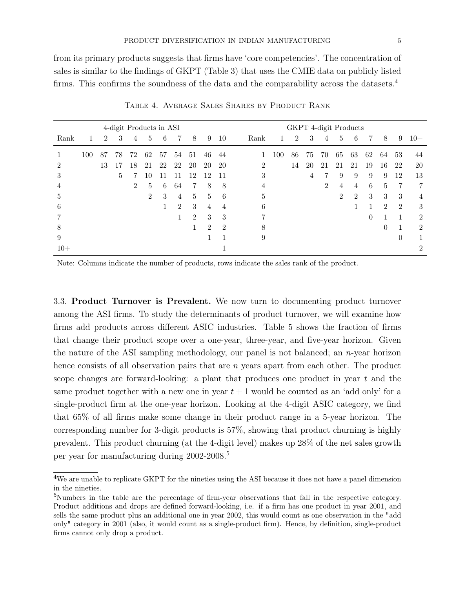from its primary products suggests that firms have 'core competencies'. The concentration of sales is similar to the findings of GKPT (Table 3) that uses the CMIE data on publicly listed firms. This confirms the soundness of the data and the comparability across the datasets.<sup>[4](#page-0-0)</sup>

<span id="page-5-0"></span>

|       |     |                |    | 4-digit Products in ASI |    |    |                |                |                |                |      |     | GKPT 4-digit Products |    |                |    |    |          |                |                |                |
|-------|-----|----------------|----|-------------------------|----|----|----------------|----------------|----------------|----------------|------|-----|-----------------------|----|----------------|----|----|----------|----------------|----------------|----------------|
| Rank  |     | $\overline{2}$ | 3  | 4                       | 5  | 6  | 7              | 8              | 9              | 10             | Rank | 1   | $\overline{2}$        | 3  | 4              | 5  | 6  | 7        | 8              | 9              | $10+$          |
|       | 100 | 87             | 78 | 72                      | 62 | 57 | 54             | 51             | 46             | 44             |      | 100 | 86                    | 75 | 70             | 65 | 63 | 62       | 64             | 53             | 44             |
| 2     |     | 13             | 17 | 18                      | 21 | 22 | 22             | 20             | 20             | 20             | 2    |     | 14                    | 20 | 21             | 21 | 21 | 19       | 16             | 22             | 20             |
| 3     |     |                | 5  | 7                       | 10 | 11 | -1             | 12             | 12             | 11             | 3    |     |                       | 4  | 7              | 9  | 9  | 9        | 9              | 12             | 13             |
| 4     |     |                |    | 2                       | 5  | 6  | 64             | 7              | 8              | 8              | 4    |     |                       |    | $\overline{2}$ | 4  | 4  | 6        | $\frac{5}{2}$  | $\overline{7}$ | 7              |
| 5     |     |                |    |                         | 2  | 3  | 4              | 5              | 5              | 6              | 5    |     |                       |    |                | 2  | 2  | 3        | 3              | 3              | 4              |
| 6     |     |                |    |                         |    | 1  | $\overline{2}$ | 3              | 4              | 4              | 6    |     |                       |    |                |    |    |          | $\overline{2}$ | $\overline{2}$ | 3              |
|       |     |                |    |                         |    |    |                | $\overline{2}$ | 3              | 3              | ד    |     |                       |    |                |    |    | $\theta$ |                | 1              | $\overline{2}$ |
| 8     |     |                |    |                         |    |    |                |                | $\overline{2}$ | $\overline{2}$ | 8    |     |                       |    |                |    |    |          | $\theta$       | -1             | $\overline{2}$ |
| 9     |     |                |    |                         |    |    |                |                |                |                | 9    |     |                       |    |                |    |    |          |                | $\theta$       |                |
| $10+$ |     |                |    |                         |    |    |                |                |                |                |      |     |                       |    |                |    |    |          |                |                | $\mathfrak{D}$ |

Table 4. Average Sales Shares by Product Rank

Note: Columns indicate the number of products, rows indicate the sales rank of the product.

3.3. Product Turnover is Prevalent. We now turn to documenting product turnover among the ASI firms. To study the determinants of product turnover, we will examine how firms add products across different ASIC industries. Table [5](#page-6-0) shows the fraction of firms that change their product scope over a one-year, three-year, and five-year horizon. Given the nature of the ASI sampling methodology, our panel is not balanced; an n-year horizon hence consists of all observation pairs that are n years apart from each other. The product scope changes are forward-looking: a plant that produces one product in year  $t$  and the same product together with a new one in year  $t + 1$  would be counted as an 'add only' for a single-product firm at the one-year horizon. Looking at the 4-digit ASIC category, we find that 65% of all firms make some change in their product range in a 5-year horizon. The corresponding number for 3-digit products is 57%, showing that product churning is highly prevalent. This product churning (at the 4-digit level) makes up 28% of the net sales growth per year for manufacturing during 2002-2008.<sup>[5](#page-0-0)</sup>

<sup>4</sup>We are unable to replicate GKPT for the nineties using the ASI because it does not have a panel dimension in the nineties.

<sup>&</sup>lt;sup>5</sup>Numbers in the table are the percentage of firm-year observations that fall in the respective category. Product additions and drops are defined forward-looking, i.e. if a firm has one product in year 2001, and sells the same product plus an additional one in year 2002, this would count as one observation in the "add only" category in 2001 (also, it would count as a single-product firm). Hence, by definition, single-product firms cannot only drop a product.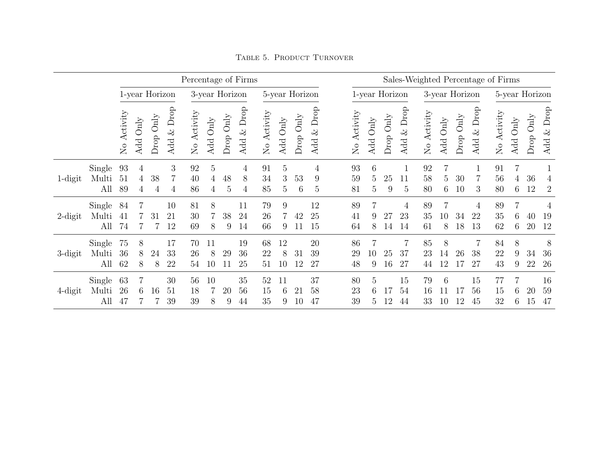<span id="page-6-0"></span>

|            |                        |                                  |                        |                    |                         | Percentage of Firms |                          |                                  |                  |                |                |           |                         |                           |                |                                  |                            |                |                           |                |                          | Sales-Weighted Percentage of Firms |                                 |                         |                            |
|------------|------------------------|----------------------------------|------------------------|--------------------|-------------------------|---------------------|--------------------------|----------------------------------|------------------|----------------|----------------|-----------|-------------------------|---------------------------|----------------|----------------------------------|----------------------------|----------------|---------------------------|----------------|--------------------------|------------------------------------|---------------------------------|-------------------------|----------------------------|
|            |                        | 1-year Horizon<br>3-year Horizon |                        |                    |                         |                     |                          | 5-year Horizon                   |                  |                | 1-year Horizon |           |                         |                           | 3-year Horizon |                                  |                            |                |                           | 5-year Horizon |                          |                                    |                                 |                         |                            |
|            |                        | No Activity                      | $\mathrm{Only}$<br>Add | $\text{Drop Only}$ | Drop<br>$\infty$<br>Add | No Activity         | Add Only                 | $\mathop{\mathrm{Only}}$<br>Drop | $\&$ Drop<br>Add | No Activity    | Add Only       | Drop Only | Drop<br>$\infty$<br>Add | Activity<br>$\frac{1}{2}$ | Add Only       | $\mathop{\mathrm{Only}}$<br>Drop | Drop<br>Add $\&$           | No Activity    | Add Only                  | Drop Only      | Drop<br>$\otimes$<br>Add | No Activity                        | $\mathop{\mathrm{Only}}$<br>Add | $\mathrm{Only}$<br>Drop | Drop<br>$\infty$<br>Add    |
| 1-digit    | Single<br>Multi<br>All | 93<br>51<br>89                   | 4<br>4<br>4            | 38<br>4            | 3<br>4                  | 92<br>40<br>86      | $\overline{5}$<br>4<br>4 | 48<br>5                          | 4<br>8<br>4      | 91<br>34<br>85 | 5<br>3<br>5    | 53<br>6   | 4<br>9<br>5             | 93<br>59<br>81            | 6<br>5<br>5    | 25<br>9                          | 11<br>5                    | 92<br>58<br>80 | 5<br>6                    | 30<br>10       | 3                        | 91<br>56<br>80                     | 4<br>6                          | 36<br>12                | 4<br>$\overline{2}$        |
| $2$ -digit | Single<br>Multi<br>All | 84<br>41<br>74                   | 7                      | 31                 | 10<br>21<br>12          | 81<br>30<br>69      | 8<br>8                   | 38<br>9                          | 11<br>24<br>14   | 79<br>26<br>66 | 9<br>9         | 42<br>11  | 12<br>25<br>15          | 89<br>41<br>64            | 9<br>8         | 27<br>14                         | $\overline{4}$<br>23<br>14 | 89<br>35<br>61 | 10 <sup>°</sup><br>8      | 34<br>18       | 4<br>22<br>13            | 89<br>35<br>62                     | 6<br>6                          | 40<br>20                | $\overline{4}$<br>19<br>12 |
| 3-digit    | Single<br>Multi<br>All | 75<br>36<br>62                   | 8<br>8<br>8            | 24<br>8            | 17<br>33<br>22          | 70<br>26<br>54      | 11<br>8<br>10            | 29                               | 19<br>36<br>25   | 68<br>22<br>51 | 12<br>8<br>10  | 31<br>12  | 20<br>39<br>27          | 86<br>29<br>48            | 10<br>9        | 25<br>16                         | 37<br>27                   | 85<br>23<br>44 | 8<br>14<br>$\overline{2}$ | 26             | 7<br>38<br>27            | 84<br>22<br>43                     | 8<br>9<br>9                     | 34<br>22                | 8<br>36<br>26              |
| $4$ -digit | Single<br>Multi<br>All | 63<br>26<br>47                   | 6.                     | 16                 | 30<br>51<br>39          | 56<br>18<br>39      | 10<br>8                  | 20<br>9                          | 35<br>56<br>44   | 52<br>15<br>35 | 11<br>6<br>9   | 21<br>10  | 37<br>58<br>47          | 80<br>23<br>39            | 5<br>6<br>5    | $\overline{2}$                   | 15<br>54<br>44             | 79<br>16<br>33 | 6<br>10                   | 12             | 15<br>56<br>45           | 77<br>15<br>32                     | h.<br>6                         | 20<br>15                | 16<br>59<br>47             |

Table 5. Product Turnover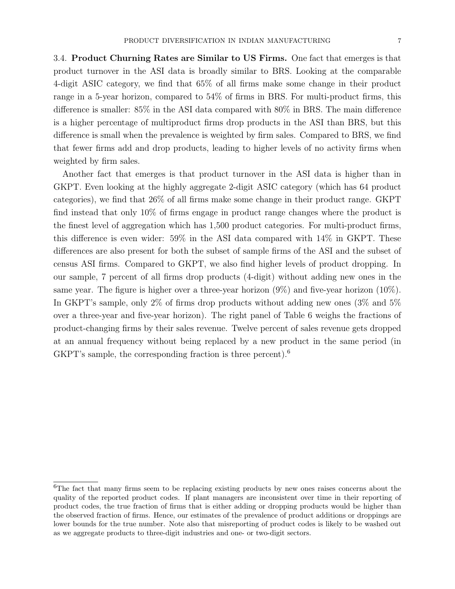3.4. Product Churning Rates are Similar to US Firms. One fact that emerges is that product turnover in the ASI data is broadly similar to BRS. Looking at the comparable 4-digit ASIC category, we find that 65% of all firms make some change in their product range in a 5-year horizon, compared to 54% of firms in BRS. For multi-product firms, this difference is smaller: 85% in the ASI data compared with 80% in BRS. The main difference is a higher percentage of multiproduct firms drop products in the ASI than BRS, but this difference is small when the prevalence is weighted by firm sales. Compared to BRS, we find that fewer firms add and drop products, leading to higher levels of no activity firms when weighted by firm sales.

Another fact that emerges is that product turnover in the ASI data is higher than in GKPT. Even looking at the highly aggregate 2-digit ASIC category (which has 64 product categories), we find that 26% of all firms make some change in their product range. GKPT find instead that only 10% of firms engage in product range changes where the product is the finest level of aggregation which has 1,500 product categories. For multi-product firms, this difference is even wider: 59% in the ASI data compared with 14% in GKPT. These differences are also present for both the subset of sample firms of the ASI and the subset of census ASI firms. Compared to GKPT, we also find higher levels of product dropping. In our sample, 7 percent of all firms drop products (4-digit) without adding new ones in the same year. The figure is higher over a three-year horizon (9%) and five-year horizon (10%). In GKPT's sample, only 2% of firms drop products without adding new ones (3% and 5% over a three-year and five-year horizon). The right panel of Table [6](#page-8-0) weighs the fractions of product-changing firms by their sales revenue. Twelve percent of sales revenue gets dropped at an annual frequency without being replaced by a new product in the same period (in GKPT's sample, the corresponding fraction is three percent).<sup>[6](#page-0-0)</sup>

<sup>&</sup>lt;sup>6</sup>The fact that many firms seem to be replacing existing products by new ones raises concerns about the quality of the reported product codes. If plant managers are inconsistent over time in their reporting of product codes, the true fraction of firms that is either adding or dropping products would be higher than the observed fraction of firms. Hence, our estimates of the prevalence of product additions or droppings are lower bounds for the true number. Note also that misreporting of product codes is likely to be washed out as we aggregate products to three-digit industries and one- or two-digit sectors.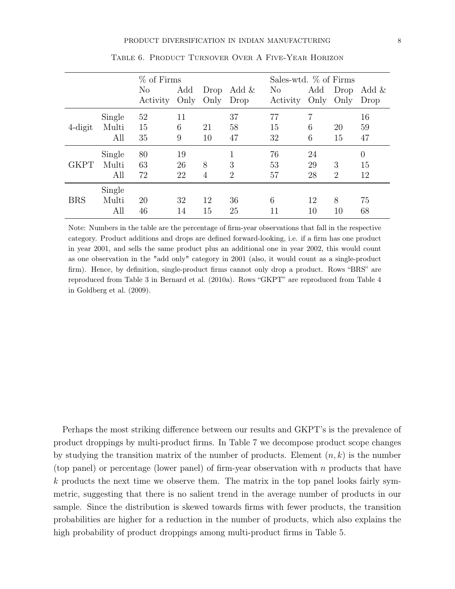<span id="page-8-0"></span>

|             |        | % of Firms     |             |              |                | Sales-wtd. $\%$ of Firms |             |                |               |
|-------------|--------|----------------|-------------|--------------|----------------|--------------------------|-------------|----------------|---------------|
|             |        | No<br>Activity | Add<br>Only | Drop<br>Only | Add &<br>Drop  | $\rm No$<br>Activity     | Add<br>Only | Drop<br>Only   | Add &<br>Drop |
|             | Single | 52             | 11          |              | 37             | 77                       | 7           |                | 16            |
| $4$ -digit  | Multi  | 15             | 6           | 21           | 58             | 15                       | 6           | 20             | 59            |
|             | All    | 35             | 9           | 10           | 47             | 32                       | 6           | 15             | 47            |
|             | Single | 80             | 19          |              | 1              | 76                       | 24          |                | $\theta$      |
| <b>GKPT</b> | Multi  | 63             | 26          | 8            | 3              | 53                       | 29          | 3              | 15            |
|             | All    | 72             | 22          | 4            | $\overline{2}$ | 57                       | 28          | $\overline{2}$ | 12            |
|             | Single |                |             |              |                |                          |             |                |               |
| <b>BRS</b>  | Multi  | 20             | 32          | 12           | 36             | 6                        | 12          | 8              | 75            |
|             | All    | 46             | 14          | 15           | 25             | 11                       | 10          | 10             | 68            |

Table 6. Product Turnover Over A Five-Year Horizon

Note: Numbers in the table are the percentage of firm-year observations that fall in the respective category. Product additions and drops are defined forward-looking, i.e. if a firm has one product in year 2001, and sells the same product plus an additional one in year 2002, this would count as one observation in the "add only" category in 2001 (also, it would count as a single-product firm). Hence, by definition, single-product firms cannot only drop a product. Rows "BRS" are reproduced from Table 3 in [Bernard et al.](#page-11-0) [\(2010a\)](#page-11-0). Rows "GKPT" are reproduced from Table 4 in [Goldberg et al.](#page-12-12) [\(2009\)](#page-12-12).

Perhaps the most striking difference between our results and GKPT's is the prevalence of product droppings by multi-product firms. In Table [7](#page-9-0) we decompose product scope changes by studying the transition matrix of the number of products. Element  $(n, k)$  is the number (top panel) or percentage (lower panel) of firm-year observation with n products that have k products the next time we observe them. The matrix in the top panel looks fairly symmetric, suggesting that there is no salient trend in the average number of products in our sample. Since the distribution is skewed towards firms with fewer products, the transition probabilities are higher for a reduction in the number of products, which also explains the high probability of product droppings among multi-product firms in Table [5.](#page-6-0)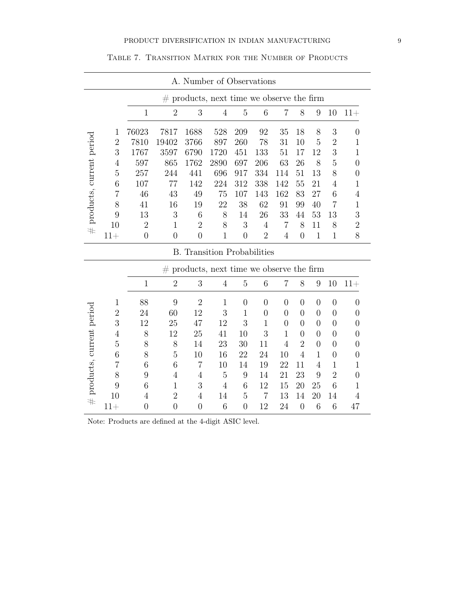<span id="page-9-0"></span>

|                               |                  |                |                                  | A. Number of Observations                   |                |                     |                      |                |                |                |                |                |
|-------------------------------|------------------|----------------|----------------------------------|---------------------------------------------|----------------|---------------------|----------------------|----------------|----------------|----------------|----------------|----------------|
|                               |                  |                |                                  | $#$ products, next time we observe the firm |                |                     |                      |                |                |                |                |                |
|                               |                  | $\mathbf{1}$   | $\overline{2}$                   | 3                                           | $\overline{4}$ | $\mathbf 5$         | 6                    | $\overline{7}$ | $8\,$          | 9              | 10             | $11+$          |
|                               | 1                | 76023          | 7817                             | 1688                                        | 528            | 209                 | 92                   | 35             | 18             | 8              | 3              | $\overline{0}$ |
|                               | $\boldsymbol{2}$ | 7810           | 19402                            | 3766                                        | 897            | 260                 | 78                   | 31             | 10             | 5              | $\sqrt{2}$     | 1              |
| $\#$ products, current period | 3                | 1767           | 3597                             | 6790                                        | 1720           | 451                 | 133                  | 51             | 17             | 12             | 3              | $\mathbf{1}$   |
|                               | 4                | 597            | 865                              | 1762                                        | 2890           | 697                 | 206                  | 63             | 26             | 8              | 5              | $\overline{0}$ |
|                               | $\overline{5}$   | 257            | 244                              | 441                                         | 696            | 917                 | 334                  | 114            | 51             | 13             | 8              | $\overline{0}$ |
|                               | 6                | 107            | 77                               | 142                                         | 224            | 312                 | 338                  | 142            | 55             | 21             | $\overline{4}$ | 1              |
|                               | 7                | 46             | 43                               | 49                                          | 75             | 107                 | 143                  | 162            | 83             | 27             | 6              | 4              |
|                               | 8                | 41             | 16                               | 19                                          | 22             | 38                  | 62                   | 91             | 99             | 40             | $\overline{7}$ | $\mathbf{1}$   |
|                               | 9                | 13             | 3                                | 6                                           | 8              | 14                  | 26                   | 33             | 44             | 53             | 13             | 3              |
|                               | 10               | $\overline{2}$ | $\mathbf 1$                      | $\overline{2}$                              | 8              | 3                   | 4                    | 7              | 8              | 11             | 8              | $\overline{2}$ |
|                               | $11+$            | $\overline{0}$ | $\overline{0}$                   | $\overline{0}$                              | $\mathbf{1}$   | $\overline{0}$      | $\overline{2}$       | 4              | $\overline{0}$ | $\mathbf{1}$   | $\mathbf{1}$   | 8              |
|                               |                  |                |                                  |                                             |                |                     |                      |                |                |                |                |                |
|                               |                  |                |                                  | <b>B.</b> Transition Probabilities          |                |                     |                      |                |                |                |                |                |
|                               |                  |                |                                  | $#$ products, next time we observe the firm |                |                     |                      |                |                |                |                |                |
|                               |                  | $\mathbf{1}$   | $\overline{2}$                   | 3                                           | $\overline{4}$ | $\mathbf 5$         | $\,$ 6 $\,$          | $\overline{7}$ | $8\,$          | $\overline{9}$ | $10\,$         | $11+$          |
|                               | 1                | 88             | 9                                | $\overline{2}$                              | $\mathbf{1}$   | $\overline{0}$      | $\overline{0}$       | $\overline{0}$ | $\overline{0}$ | $\overline{0}$ | $\overline{0}$ | $\overline{0}$ |
|                               | $\overline{2}$   | 24             | 60                               | 12                                          | 3              | $\mathbf{1}$        | $\overline{0}$       | $\theta$       | $\theta$       | $\overline{0}$ | $\theta$       | $\overline{0}$ |
|                               | 3                | 12             | 25                               | 47                                          | 12             | 3                   | $\mathbf{1}$         | $\overline{0}$ | $\overline{0}$ | $\overline{0}$ | $\overline{0}$ | $\theta$       |
|                               | 4                | 8              | 12                               | 25                                          | 41             | 10                  | 3                    | $\mathbf{1}$   | $\theta$       | $\theta$       | $\theta$       | $\theta$       |
|                               | $\overline{5}$   | 8              | 8                                | 14                                          | 23             | 30                  | 11                   | 4              | $\overline{2}$ | $\overline{0}$ | $\theta$       | $\overline{0}$ |
|                               | 6                | 8              | 5                                | 10                                          | 16             | 22                  | 24                   | 10             | $\overline{4}$ | $\mathbf{1}$   | $\theta$       | $\overline{0}$ |
|                               | 7                | 6              | 6                                | $\overline{7}$                              | 10             | 14                  | 19                   | 22             | 11             | $\overline{4}$ | $\mathbf{1}$   | $\mathbf{1}$   |
|                               | 8                | 9              | 4                                | 4                                           | 5              | 9                   | 14                   | 21             | 23             | 9              | $\overline{2}$ | $\overline{0}$ |
|                               | 9                | 6              | $\mathbf 1$                      | 3                                           | $\overline{4}$ | 6                   | 12                   | 15             | 20             | 25             | 6              | $\mathbf{1}$   |
| $\#$ products, current period | 10<br>$11+$      | 4              | $\overline{2}$<br>$\overline{0}$ | 4<br>$\overline{0}$                         | 14<br>6        | 5<br>$\overline{0}$ | $\overline{7}$<br>12 | 13<br>24       | 14<br>$\theta$ | 20<br>6        | 14<br>6        | 4<br>47        |

Table 7. Transition Matrix for the Number of Products

Note: Products are defined at the 4-digit ASIC level.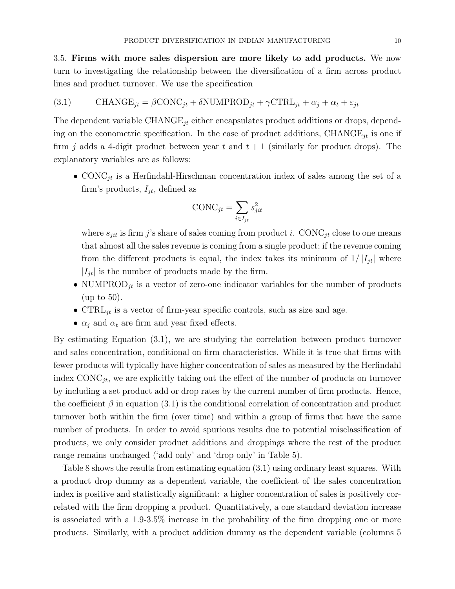3.5. Firms with more sales dispersion are more likely to add products. We now turn to investigating the relationship between the diversification of a firm across product lines and product turnover. We use the specification

<span id="page-10-0"></span>(3.1) 
$$
\text{CHANGE}_{jt} = \beta \text{CONC}_{jt} + \delta \text{NUMPROD}_{jt} + \gamma \text{CTRL}_{jt} + \alpha_j + \alpha_t + \varepsilon_{jt}
$$

The dependent variable  $\text{CHANGE}_{jt}$  either encapsulates product additions or drops, depending on the econometric specification. In the case of product additions, CHANGE<sub>jt</sub> is one if firm j adds a 4-digit product between year t and  $t + 1$  (similarly for product drops). The explanatory variables are as follows:

• CONC<sub>jt</sub> is a Herfindahl-Hirschman concentration index of sales among the set of a firm's products,  $I_{it}$ , defined as

$$
\text{CONC}_{jt} = \sum_{i \in I_{jt}} s_{jit}^2
$$

where  $s_{jit}$  is firm j's share of sales coming from product i. CONC<sub>jt</sub> close to one means that almost all the sales revenue is coming from a single product; if the revenue coming from the different products is equal, the index takes its minimum of  $1/|I_{it}|$  where  $\left|I_{jt}\right|$  is the number of products made by the firm.

- NUMPROD<sub>jt</sub> is a vector of zero-one indicator variables for the number of products (up to 50).
- CTRL<sub>it</sub> is a vector of firm-year specific controls, such as size and age.
- $\alpha_i$  and  $\alpha_t$  are firm and year fixed effects.

By estimating Equation [\(3.1\)](#page-10-0), we are studying the correlation between product turnover and sales concentration, conditional on firm characteristics. While it is true that firms with fewer products will typically have higher concentration of sales as measured by the Herfindahl index  $\text{CONC}_{jt}$ , we are explicitly taking out the effect of the number of products on turnover by including a set product add or drop rates by the current number of firm products. Hence, the coefficient  $\beta$  in equation [\(3.1\)](#page-10-0) is the conditional correlation of concentration and product turnover both within the firm (over time) and within a group of firms that have the same number of products. In order to avoid spurious results due to potential misclassification of products, we only consider product additions and droppings where the rest of the product range remains unchanged ('add only' and 'drop only' in Table [5\)](#page-6-0).

Table [8](#page-11-1) shows the results from estimating equation [\(3.1\)](#page-10-0) using ordinary least squares. With a product drop dummy as a dependent variable, the coefficient of the sales concentration index is positive and statistically significant: a higher concentration of sales is positively correlated with the firm dropping a product. Quantitatively, a one standard deviation increase is associated with a 1.9-3.5% increase in the probability of the firm dropping one or more products. Similarly, with a product addition dummy as the dependent variable (columns 5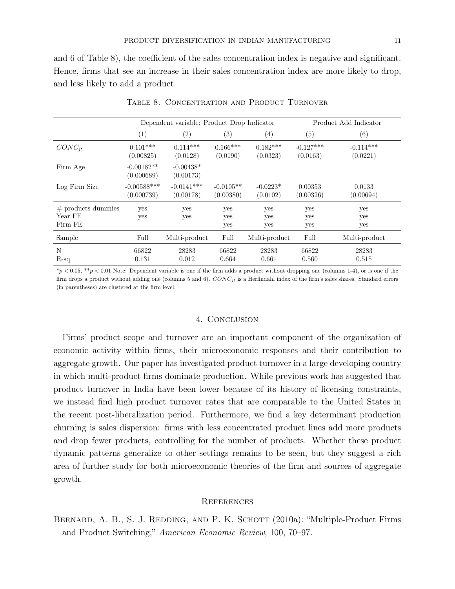and 6 of Table [8\)](#page-11-1), the coefficient of the sales concentration index is negative and significant. Hence, firms that see an increase in their sales concentration index are more likely to drop, and less likely to add a product.

<span id="page-11-1"></span>

|                                            |                             | Dependent variable: Product Drop Indicator |                          |                        |                         | Product Add Indicator   |
|--------------------------------------------|-----------------------------|--------------------------------------------|--------------------------|------------------------|-------------------------|-------------------------|
|                                            | (1)                         | (2)                                        | $\left( 3\right)$        | $\left( 4\right)$      | (5)                     | (6)                     |
| $CONC_{it}$                                | $0.101***$<br>(0.00825)     | $0.114***$<br>(0.0128)                     | $0.166***$<br>(0.0190)   | $0.182***$<br>(0.0323) | $-0.127***$<br>(0.0163) | $-0.114***$<br>(0.0221) |
| Firm Age                                   | $-0.00182**$<br>(0.000689)  | $-0.00438*$<br>(0.00173)                   |                          |                        |                         |                         |
| Log Firm Size                              | $-0.00588***$<br>(0.000739) | $-0.0141***$<br>(0.00178)                  | $-0.0105**$<br>(0.00380) | $-0.0223*$<br>(0.0102) | 0.00353<br>(0.00326)    | 0.0133<br>(0.00694)     |
| $#$ products dummies<br>Year FE<br>Firm FE | yes<br><b>ves</b>           | yes<br><b>ves</b>                          | yes<br>yes<br>yes        | yes<br>yes<br>yes      | yes<br>yes<br>yes       | yes<br>yes<br>yes       |
| Sample                                     | Full                        | Multi-product                              | Full                     | Multi-product          | Full                    | Multi-product           |
| N<br>$R-sq$                                | 66822<br>0.131              | 28283<br>0.012                             | 66822<br>0.664           | 28283<br>0.661         | 66822<br>0.560          | 28283<br>0.515          |

### TABLE 8. CONCENTRATION AND PRODUCT TURNOVER

 $*_p$  < 0.05,  $**_p$  < 0.01 Note: Dependent variable is one if the firm adds a product without dropping one (columns 1-4), or is one if the firm drops a product without adding one (columns 5 and 6).  $CONC_{it}$  is a Herfindahl index of the firm's sales shares. Standard errors (in parentheses) are clustered at the firm level.

### 4. Conclusion

Firms' product scope and turnover are an important component of the organization of economic activity within firms, their microeconomic responses and their contribution to aggregate growth. Our paper has investigated product turnover in a large developing country in which multi-product firms dominate production. While previous work has suggested that product turnover in India have been lower because of its history of licensing constraints, we instead find high product turnover rates that are comparable to the United States in the recent post-liberalization period. Furthermore, we find a key determinant production churning is sales dispersion: firms with less concentrated product lines add more products and drop fewer products, controlling for the number of products. Whether these product dynamic patterns generalize to other settings remains to be seen, but they suggest a rich area of further study for both microeconomic theories of the firm and sources of aggregate growth.

### **REFERENCES**

<span id="page-11-0"></span>BERNARD, A. B., S. J. REDDING, AND P. K. SCHOTT (2010a): "Multiple-Product Firms and Product Switching," American Economic Review, 100, 70–97.